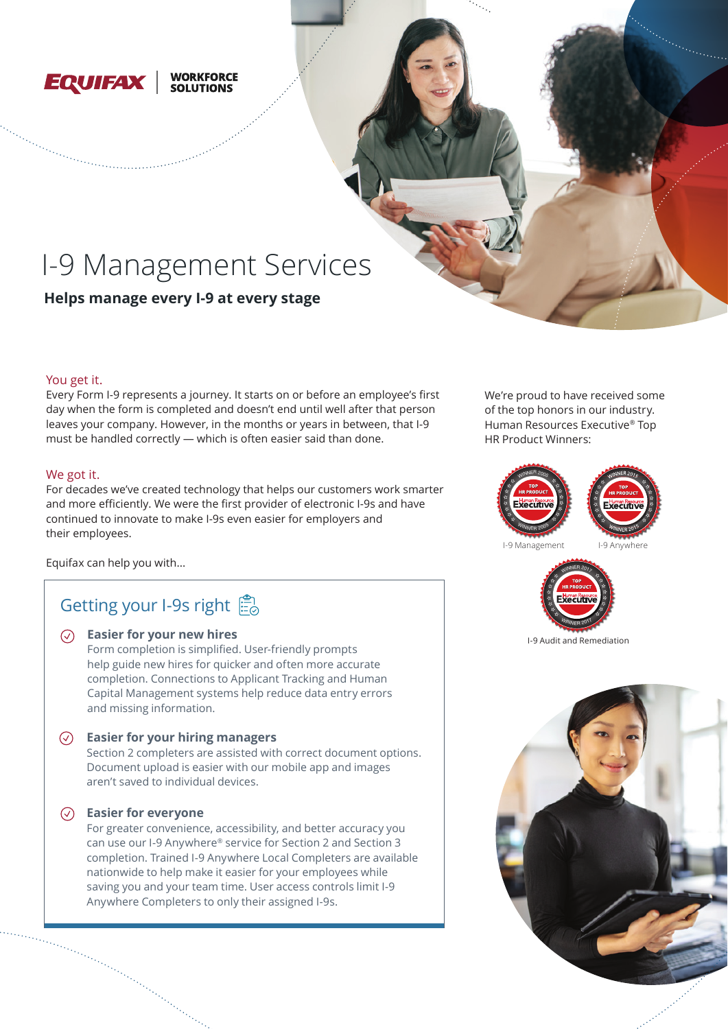

## **WORKFORCE**<br>SOLUTIONS

# I-9 Management Services

**Helps manage every I-9 at every stage**

### You get it.

Every Form I-9 represents a journey. It starts on or before an employee's first day when the form is completed and doesn't end until well after that person leaves your company. However, in the months or years in between, that I-9 must be handled correctly — which is often easier said than done.

### We got it.

For decades we've created technology that helps our customers work smarter and more efficiently. We were the first provider of electronic I-9s and have continued to innovate to make I-9s even easier for employers and their employees.

Equifax can help you with...

## Getting your I-9s right

## **Easier for your new hires**

Form completion is simplified. User-friendly prompts help guide new hires for quicker and often more accurate completion. Connections to Applicant Tracking and Human Capital Management systems help reduce data entry errors and missing information.

### **Easier for your hiring managers**

Section 2 completers are assisted with correct document options. Document upload is easier with our mobile app and images aren't saved to individual devices.

### **Easier for everyone**

For greater convenience, accessibility, and better accuracy you can use our I-9 Anywhere® service for Section 2 and Section 3 completion. Trained I-9 Anywhere Local Completers are available nationwide to help make it easier for your employees while saving you and your team time. User access controls limit I-9 Anywhere Completers to only their assigned I-9s.

We're proud to have received some of the top honors in our industry. Human Resources Executive® Top HR Product Winners: